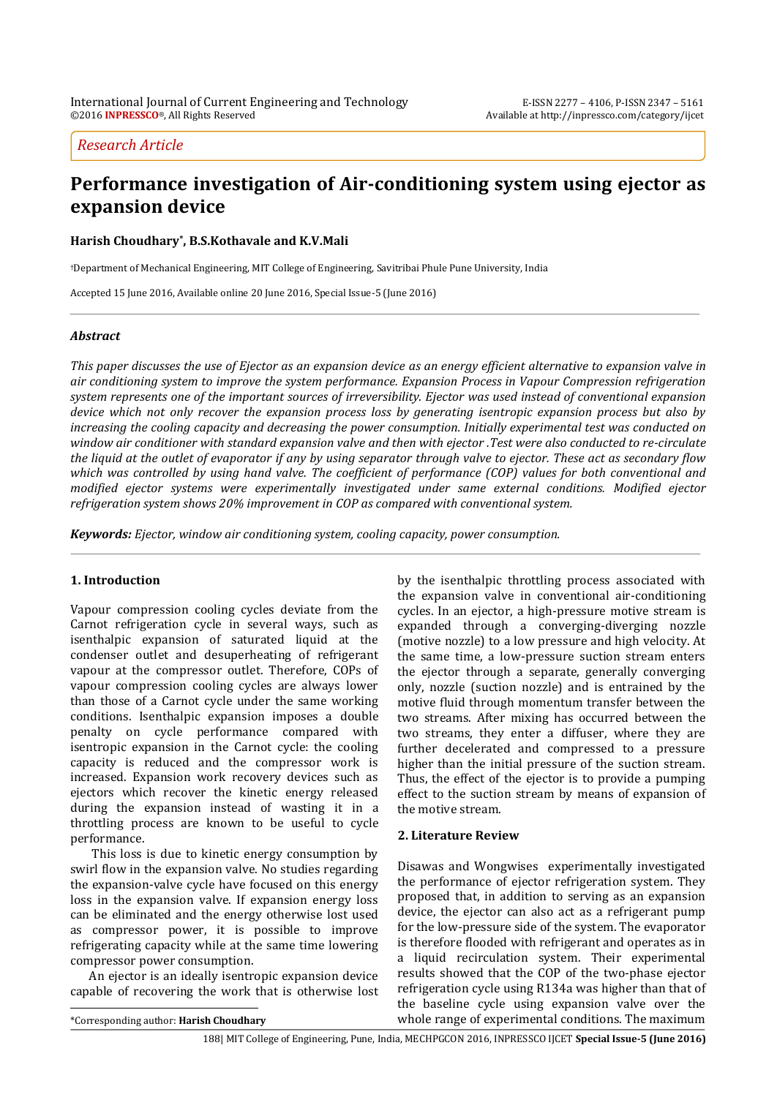*Research Article*

# **Performance investigation of Air-conditioning system using ejector as expansion device**

**Harish Choudhary\* , B.S.Kothavale and K.V.Mali**

†Department of Mechanical Engineering, MIT College of Engineering, Savitribai Phule Pune University, India

Accepted 15 June 2016, Available online 20 June 2016, Special Issue-5 (June 2016)

# *Abstract*

*This paper discusses the use of Ejector as an expansion device as an energy efficient alternative to expansion valve in air conditioning system to improve the system performance. Expansion Process in Vapour Compression refrigeration system represents one of the important sources of irreversibility. Ejector was used instead of conventional expansion device which not only recover the expansion process loss by generating isentropic expansion process but also by increasing the cooling capacity and decreasing the power consumption. Initially experimental test was conducted on window air conditioner with standard expansion valve and then with ejector .Test were also conducted to re-circulate the liquid at the outlet of evaporator if any by using separator through valve to ejector. These act as secondary flow which was controlled by using hand valve. The coefficient of performance (COP) values for both conventional and modified ejector systems were experimentally investigated under same external conditions. Modified ejector refrigeration system shows 20% improvement in COP as compared with conventional system.*

*Keywords: Ejector, window air conditioning system, cooling capacity, power consumption.*

# **1. Introduction**

Vapour compression cooling cycles deviate from the Carnot refrigeration cycle in several ways, such as isenthalpic expansion of saturated liquid at the condenser outlet and desuperheating of refrigerant vapour at the compressor outlet. Therefore, COPs of vapour compression cooling cycles are always lower than those of a Carnot cycle under the same working conditions. Isenthalpic expansion imposes a double penalty on cycle performance compared with isentropic expansion in the Carnot cycle: the cooling capacity is reduced and the compressor work is increased. Expansion work recovery devices such as ejectors which recover the kinetic energy released during the expansion instead of wasting it in a throttling process are known to be useful to cycle performance.

This loss is due to kinetic energy consumption by swirl flow in the expansion valve. No studies regarding the expansion-valve cycle have focused on this energy loss in the expansion valve. If expansion energy loss can be eliminated and the energy otherwise lost used as compressor power, it is possible to improve refrigerating capacity while at the same time lowering compressor power consumption.

An ejector is an ideally isentropic expansion device capable of recovering the work that is otherwise lost by the isenthalpic throttling process associated with the expansion valve in conventional air-conditioning cycles. In an ejector, a high-pressure motive stream is expanded through a converging-diverging nozzle (motive nozzle) to a low pressure and high velocity. At the same time, a low-pressure suction stream enters the ejector through a separate, generally converging only, nozzle (suction nozzle) and is entrained by the motive fluid through momentum transfer between the two streams. After mixing has occurred between the two streams, they enter a diffuser, where they are further decelerated and compressed to a pressure higher than the initial pressure of the suction stream. Thus, the effect of the ejector is to provide a pumping effect to the suction stream by means of expansion of the motive stream.

### **2. Literature Review**

Disawas and Wongwises experimentally investigated the performance of ejector refrigeration system. They proposed that, in addition to serving as an expansion device, the ejector can also act as a refrigerant pump for the low-pressure side of the system. The evaporator is therefore flooded with refrigerant and operates as in a liquid recirculation system. Their experimental results showed that the COP of the two-phase ejector refrigeration cycle using R134a was higher than that of the baseline cycle using expansion valve over the whole range of experimental conditions. The maximum

 $\overline{a}$ 

<sup>\*</sup>Corresponding author: **Harish Choudhary**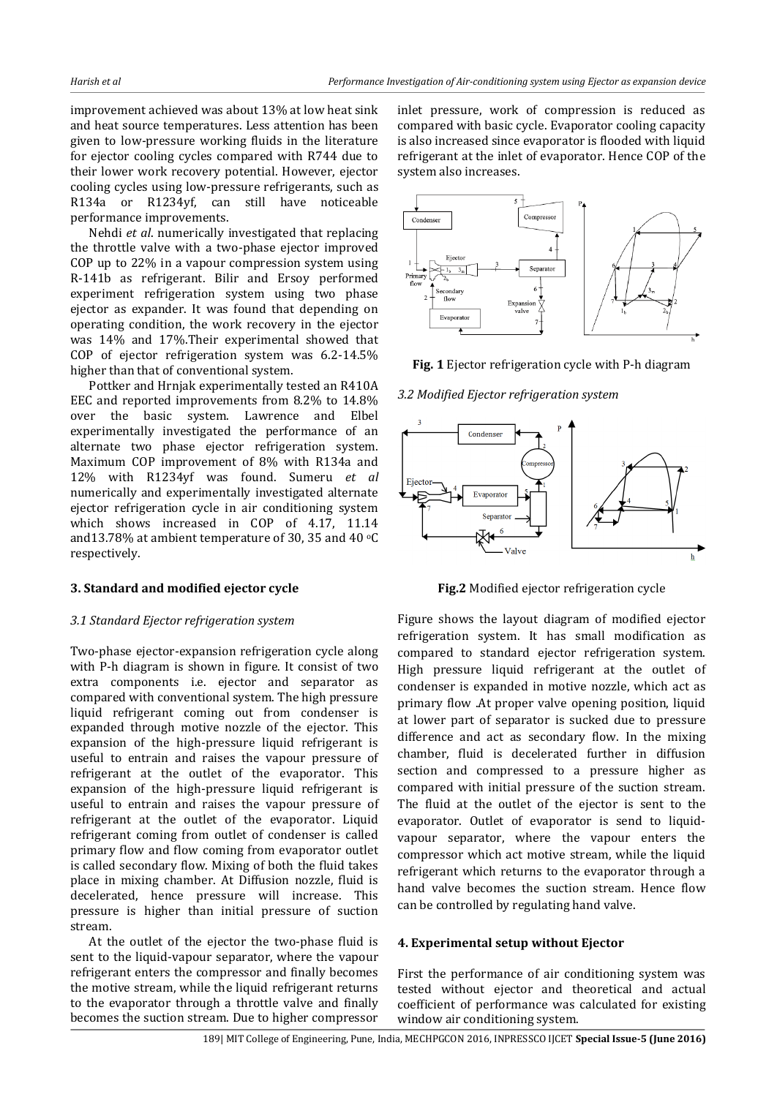improvement achieved was about 13% at low heat sink and heat source temperatures. Less attention has been given to low-pressure working fluids in the literature for ejector cooling cycles compared with R744 due to their lower work recovery potential. However, ejector cooling cycles using low-pressure refrigerants, such as R134a or R1234yf, can still have noticeable performance improvements.

Nehdi *et al*. numerically investigated that replacing the throttle valve with a two-phase ejector improved COP up to 22% in a vapour compression system using R-141b as refrigerant. Bilir and Ersoy performed experiment refrigeration system using two phase ejector as expander. It was found that depending on operating condition, the work recovery in the ejector was 14% and 17%.Their experimental showed that COP of ejector refrigeration system was 6.2-14.5% higher than that of conventional system.

Pottker and Hrnjak experimentally tested an R410A EEC and reported improvements from 8.2% to 14.8% over the basic system. Lawrence and Elbel experimentally investigated the performance of an alternate two phase ejector refrigeration system. Maximum COP improvement of 8% with R134a and 12% with R1234yf was found. Sumeru *et al* numerically and experimentally investigated alternate ejector refrigeration cycle in air conditioning system which shows increased in COP of 4.17, 11.14 and 13.78% at ambient temperature of 30, 35 and 40  $\,^{\circ}$ C respectively.

# **3. Standard and modified ejector cycle**

# *3.1 Standard Ejector refrigeration system*

Two-phase ejector-expansion refrigeration cycle along with P-h diagram is shown in figure. It consist of two extra components i.e. ejector and separator as compared with conventional system. The high pressure liquid refrigerant coming out from condenser is expanded through motive nozzle of the ejector. This expansion of the high-pressure liquid refrigerant is useful to entrain and raises the vapour pressure of refrigerant at the outlet of the evaporator. This expansion of the high-pressure liquid refrigerant is useful to entrain and raises the vapour pressure of refrigerant at the outlet of the evaporator. Liquid refrigerant coming from outlet of condenser is called primary flow and flow coming from evaporator outlet is called secondary flow. Mixing of both the fluid takes place in mixing chamber. At Diffusion nozzle, fluid is decelerated, hence pressure will increase. This pressure is higher than initial pressure of suction stream.

At the outlet of the ejector the two-phase fluid is sent to the liquid-vapour separator, where the vapour refrigerant enters the compressor and finally becomes the motive stream, while the liquid refrigerant returns to the evaporator through a throttle valve and finally becomes the suction stream. Due to higher compressor inlet pressure, work of compression is reduced as compared with basic cycle. Evaporator cooling capacity is also increased since evaporator is flooded with liquid refrigerant at the inlet of evaporator. Hence COP of the system also increases.



**Fig. 1** Ejector refrigeration cycle with P-h diagram

*3.2 Modified Ejector refrigeration system*



**Fig.2** Modified ejector refrigeration cycle

Figure shows the layout diagram of modified ejector refrigeration system. It has small modification as compared to standard ejector refrigeration system. High pressure liquid refrigerant at the outlet of condenser is expanded in motive nozzle, which act as primary flow .At proper valve opening position, liquid at lower part of separator is sucked due to pressure difference and act as secondary flow. In the mixing chamber, fluid is decelerated further in diffusion section and compressed to a pressure higher as compared with initial pressure of the suction stream. The fluid at the outlet of the ejector is sent to the evaporator. Outlet of evaporator is send to liquidvapour separator, where the vapour enters the compressor which act motive stream, while the liquid refrigerant which returns to the evaporator through a hand valve becomes the suction stream. Hence flow can be controlled by regulating hand valve.

# **4. Experimental setup without Ejector**

First the performance of air conditioning system was tested without ejector and theoretical and actual coefficient of performance was calculated for existing window air conditioning system.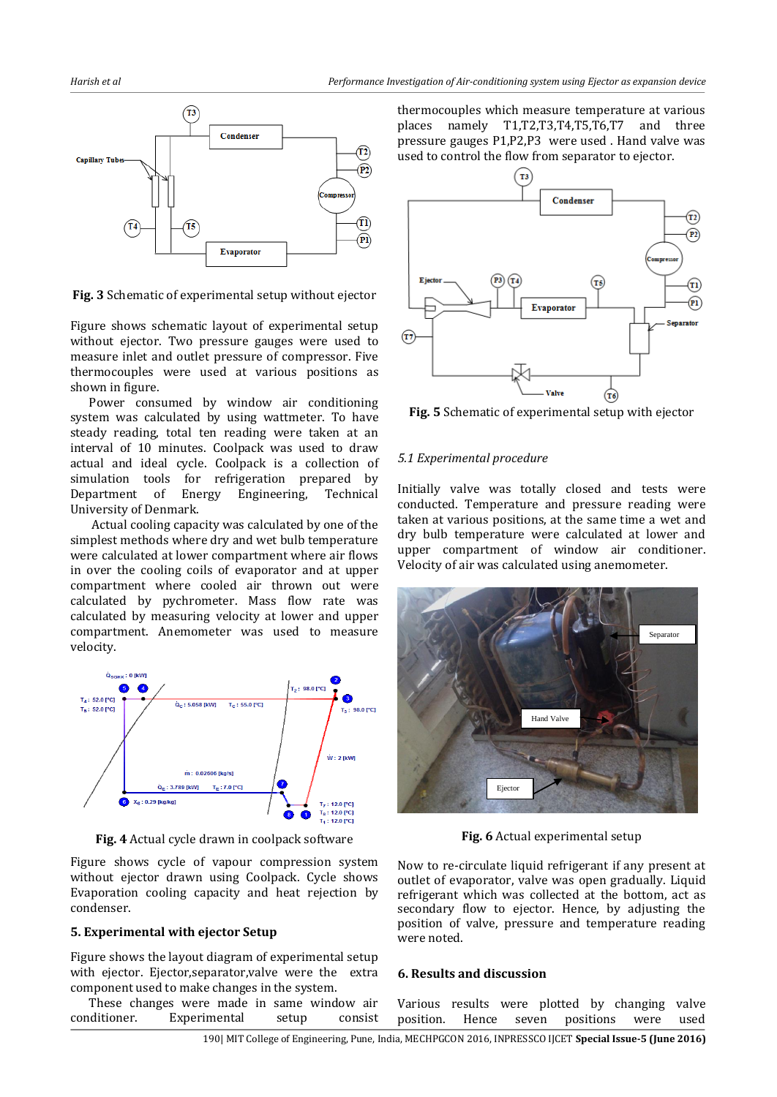

**Fig. 3** Schematic of experimental setup without ejector

Figure shows schematic layout of experimental setup without ejector. Two pressure gauges were used to measure inlet and outlet pressure of compressor. Five thermocouples were used at various positions as shown in figure.

Power consumed by window air conditioning system was calculated by using wattmeter. To have steady reading, total ten reading were taken at an interval of 10 minutes. Coolpack was used to draw actual and ideal cycle. Coolpack is a collection of simulation tools for refrigeration prepared by Department of Energy Engineering, Technical University of Denmark.

Actual cooling capacity was calculated by one of the simplest methods where dry and wet bulb temperature were calculated at lower compartment where air flows in over the cooling coils of evaporator and at upper compartment where cooled air thrown out were calculated by pychrometer. Mass flow rate was calculated by measuring velocity at lower and upper compartment. Anemometer was used to measure velocity.



**Fig. 4** Actual cycle drawn in coolpack software

Figure shows cycle of vapour compression system without ejector drawn using Coolpack. Cycle shows Evaporation cooling capacity and heat rejection by condenser.

# **5. Experimental with ejector Setup**

Figure shows the layout diagram of experimental setup with ejector. Ejector,separator,valve were the extra component used to make changes in the system.

These changes were made in same window air conditioner. Experimental setup consist thermocouples which measure temperature at various places namely T1,T2,T3,T4,T5,T6,T7 and three pressure gauges P1,P2,P3 were used . Hand valve was used to control the flow from separator to ejector.



**Fig. 5** Schematic of experimental setup with ejector

## *5.1 Experimental procedure*

Initially valve was totally closed and tests were conducted. Temperature and pressure reading were taken at various positions, at the same time a wet and dry bulb temperature were calculated at lower and upper compartment of window air conditioner. Velocity of air was calculated using anemometer.



**Fig. 6** Actual experimental setup

Now to re-circulate liquid refrigerant if any present at outlet of evaporator, valve was open gradually. Liquid refrigerant which was collected at the bottom, act as secondary flow to ejector. Hence, by adjusting the position of valve, pressure and temperature reading were noted.

### **6. Results and discussion**

Various results were plotted by changing valve position. Hence seven positions were used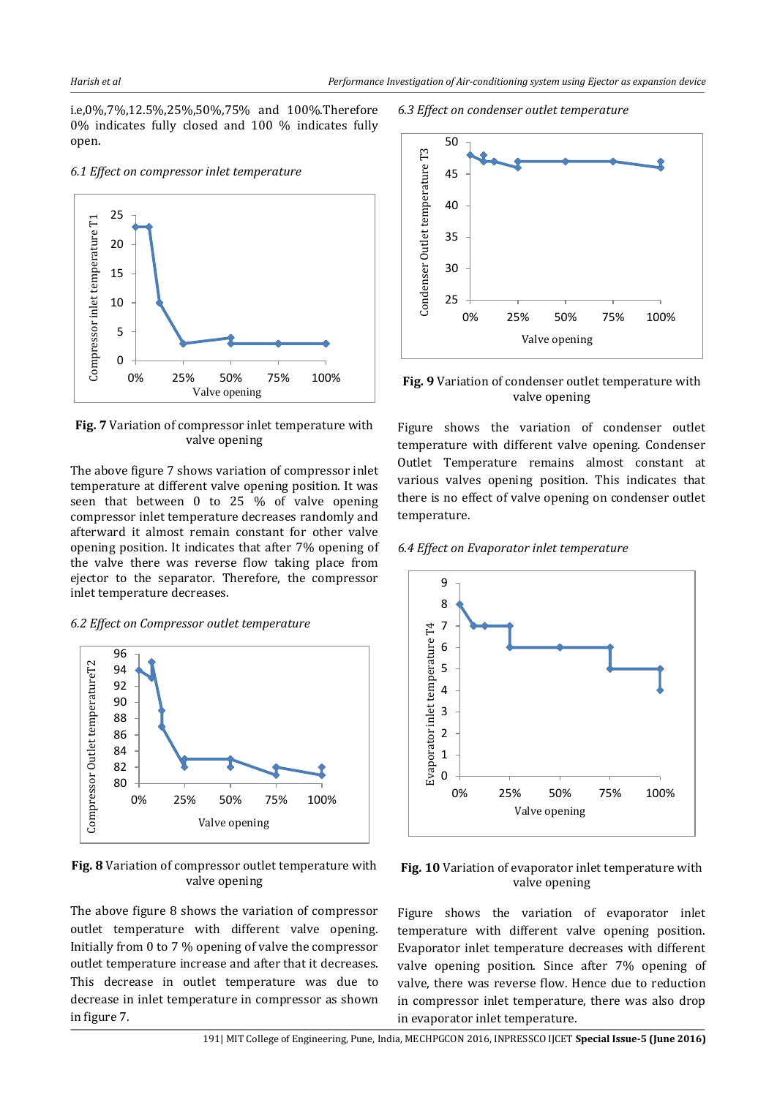i.e,0%,7%,12.5%,25%,50%,75% and 100%.Therefore 0% indicates fully closed and 100 % indicates fully open.

#### *6.1 Effect on compressor inlet temperature*



**Fig. 7** Variation of compressor inlet temperature with valve opening

The above figure 7 shows variation of compressor inlet temperature at different valve opening position. It was seen that between 0 to 25 % of valve opening compressor inlet temperature decreases randomly and afterward it almost remain constant for other valve opening position. It indicates that after 7% opening of the valve there was reverse flow taking place from ejector to the separator. Therefore, the compressor inlet temperature decreases.

#### *6.2 Effect on Compressor outlet temperature*



**Fig. 8** Variation of compressor outlet temperature with valve opening

The above figure 8 shows the variation of compressor outlet temperature with different valve opening. Initially from 0 to 7 % opening of valve the compressor outlet temperature increase and after that it decreases. This decrease in outlet temperature was due to decrease in inlet temperature in compressor as shown in figure 7.

*6.3 Effect on condenser outlet temperature*



**Fig. 9** Variation of condenser outlet temperature with valve opening

Figure shows the variation of condenser outlet temperature with different valve opening. Condenser Outlet Temperature remains almost constant at various valves opening position. This indicates that there is no effect of valve opening on condenser outlet temperature.

#### *6.4 Effect on Evaporator inlet temperature*



# **Fig. 10** Variation of evaporator inlet temperature with valve opening

Figure shows the variation of evaporator inlet temperature with different valve opening position. Evaporator inlet temperature decreases with different valve opening position. Since after 7% opening of valve, there was reverse flow. Hence due to reduction in compressor inlet temperature, there was also drop in evaporator inlet temperature.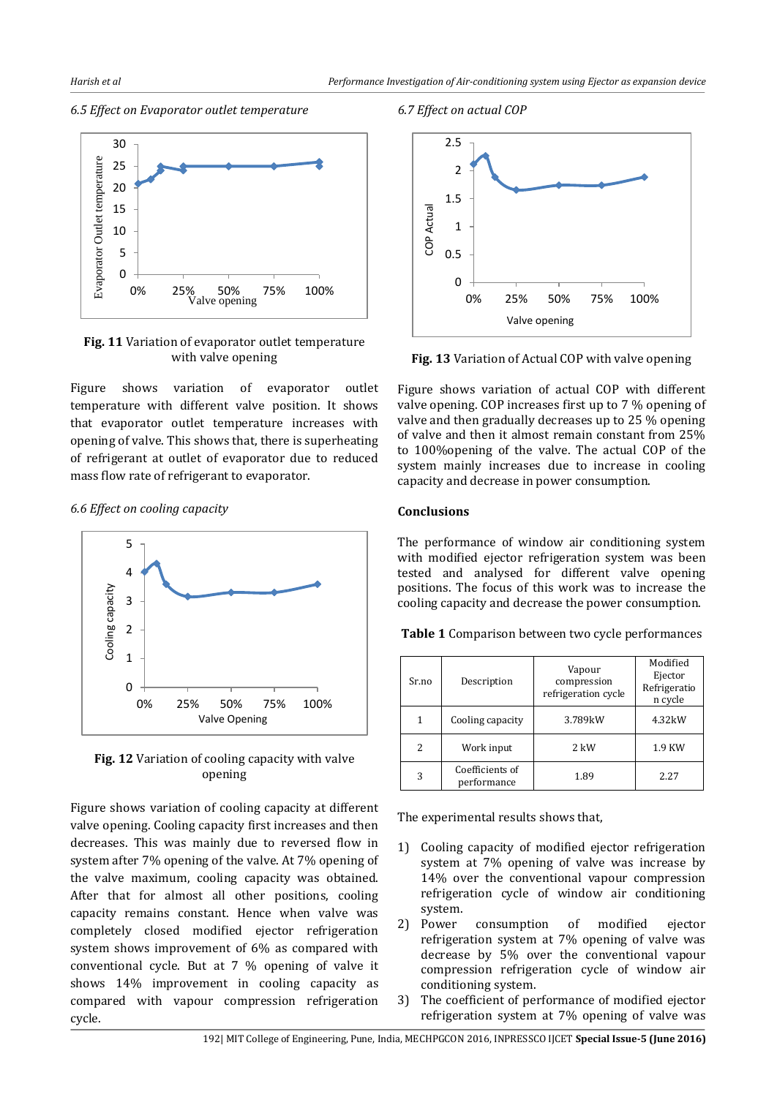*6.5 Effect on Evaporator outlet temperature*





**Fig. 11** Variation of evaporator outlet temperature with valve opening

Figure shows variation of evaporator outlet temperature with different valve position. It shows that evaporator outlet temperature increases with opening of valve. This shows that, there is superheating of refrigerant at outlet of evaporator due to reduced mass flow rate of refrigerant to evaporator.

*6.6 Effect on cooling capacity*



**Fig. 12** Variation of cooling capacity with valve opening

Figure shows variation of cooling capacity at different valve opening. Cooling capacity first increases and then decreases. This was mainly due to reversed flow in system after 7% opening of the valve. At 7% opening of the valve maximum, cooling capacity was obtained. After that for almost all other positions, cooling capacity remains constant. Hence when valve was completely closed modified ejector refrigeration system shows improvement of 6% as compared with conventional cycle. But at 7 % opening of valve it shows 14% improvement in cooling capacity as compared with vapour compression refrigeration cycle.



**Fig. 13** Variation of Actual COP with valve opening

Figure shows variation of actual COP with different valve opening. COP increases first up to 7 % opening of valve and then gradually decreases up to 25 % opening of valve and then it almost remain constant from 25% to 100%opening of the valve. The actual COP of the system mainly increases due to increase in cooling capacity and decrease in power consumption.

### **Conclusions**

The performance of window air conditioning system with modified ejector refrigeration system was been tested and analysed for different valve opening positions. The focus of this work was to increase the cooling capacity and decrease the power consumption.

| Table 1 Comparison between two cycle performances |  |  |  |
|---------------------------------------------------|--|--|--|
|---------------------------------------------------|--|--|--|

| Sr.no | Description                    | Vapour<br>compression<br>refrigeration cycle | Modified<br>Ejector<br>Refrigeratio<br>n cycle |
|-------|--------------------------------|----------------------------------------------|------------------------------------------------|
| 1     | Cooling capacity               | 3.789kW                                      | 4.32kW                                         |
| 2     | Work input                     | 2 kW                                         | 1.9 KW                                         |
| 3     | Coefficients of<br>performance | 1.89                                         | 2.27                                           |

The experimental results shows that,

- 1) Cooling capacity of modified ejector refrigeration system at 7% opening of valve was increase by 14% over the conventional vapour compression refrigeration cycle of window air conditioning system.
- 2) Power consumption of modified ejector refrigeration system at 7% opening of valve was decrease by 5% over the conventional vapour compression refrigeration cycle of window air conditioning system.
- 3) The coefficient of performance of modified ejector refrigeration system at 7% opening of valve was